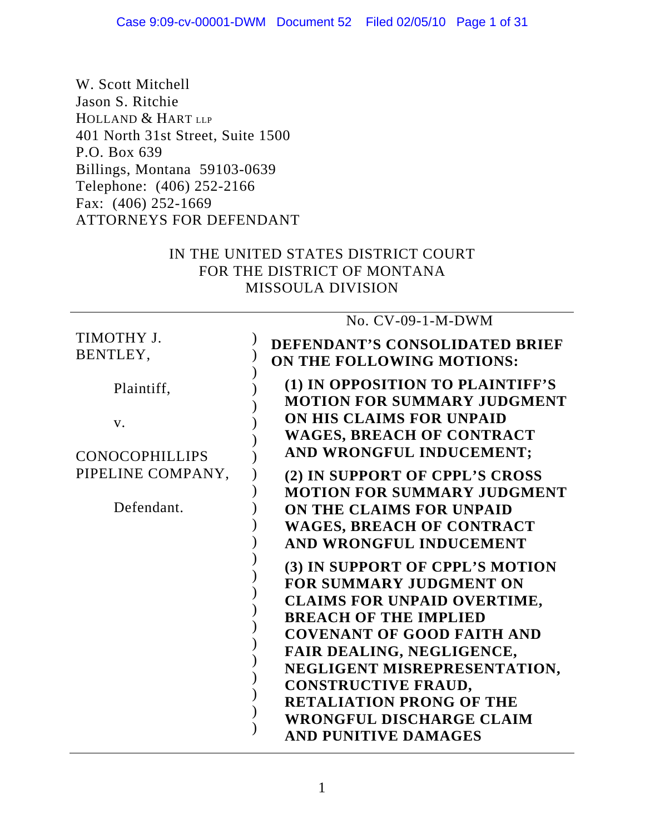W. Scott Mitchell Jason S. Ritchie HOLLAND & HART LLP 401 North 31st Street, Suite 1500 P.O. Box 639 Billings, Montana 59103-0639 Telephone: (406) 252-2166 Fax: (406) 252-1669 ATTORNEYS FOR DEFENDANT

# IN THE UNITED STATES DISTRICT COURT FOR THE DISTRICT OF MONTANA MISSOULA DIVISION

#### TIMOTHY J. BENTLEY, Plaintiff, v. CONOCOPHILLIPS PIPELINE COMPANY, Defendant. ) )  $\overline{)}$  $\overline{)}$  $\overline{)}$  $\overline{)}$ ) ) ) ) ) ) )  $\overline{)}$  $\overline{)}$  $\overline{)}$  $\overline{)}$  $\overline{)}$  $\overline{)}$  $\overline{)}$ ) ) ) ) No. CV-09-1-M-DWM **DEFENDANT'S CONSOLIDATED BRIEF ON THE FOLLOWING MOTIONS: (1) IN OPPOSITION TO PLAINTIFF'S MOTION FOR SUMMARY JUDGMENT ON HIS CLAIMS FOR UNPAID WAGES, BREACH OF CONTRACT AND WRONGFUL INDUCEMENT; (2) IN SUPPORT OF CPPL'S CROSS MOTION FOR SUMMARY JUDGMENT ON THE CLAIMS FOR UNPAID WAGES, BREACH OF CONTRACT AND WRONGFUL INDUCEMENT (3) IN SUPPORT OF CPPL'S MOTION FOR SUMMARY JUDGMENT ON CLAIMS FOR UNPAID OVERTIME, BREACH OF THE IMPLIED COVENANT OF GOOD FAITH AND FAIR DEALING, NEGLIGENCE, NEGLIGENT MISREPRESENTATION, CONSTRUCTIVE FRAUD, RETALIATION PRONG OF THE WRONGFUL DISCHARGE CLAIM AND PUNITIVE DAMAGES**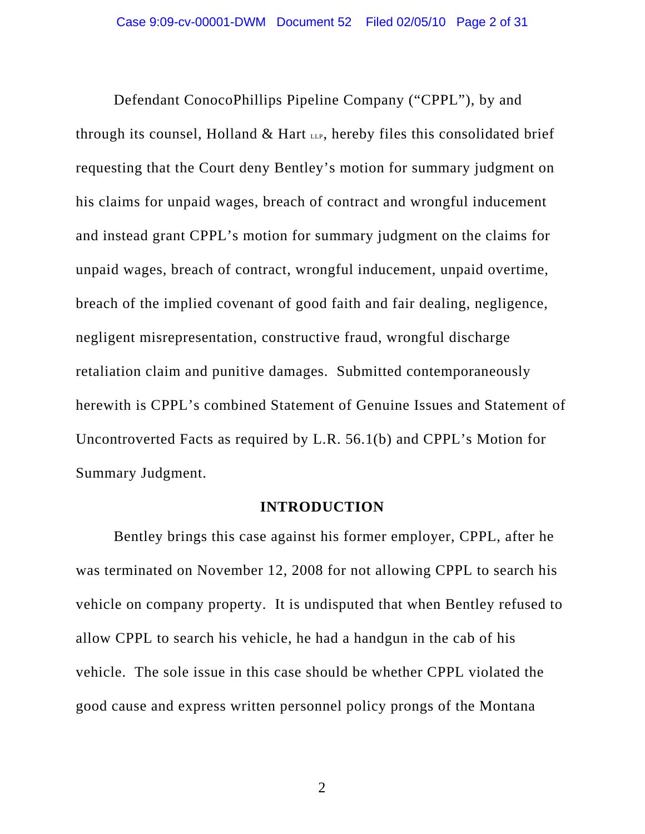Defendant ConocoPhillips Pipeline Company ("CPPL"), by and through its counsel, Holland  $\&$  Hart LLP, hereby files this consolidated brief requesting that the Court deny Bentley's motion for summary judgment on his claims for unpaid wages, breach of contract and wrongful inducement and instead grant CPPL's motion for summary judgment on the claims for unpaid wages, breach of contract, wrongful inducement, unpaid overtime, breach of the implied covenant of good faith and fair dealing, negligence, negligent misrepresentation, constructive fraud, wrongful discharge retaliation claim and punitive damages. Submitted contemporaneously herewith is CPPL's combined Statement of Genuine Issues and Statement of Uncontroverted Facts as required by L.R. 56.1(b) and CPPL's Motion for Summary Judgment.

#### **INTRODUCTION**

Bentley brings this case against his former employer, CPPL, after he was terminated on November 12, 2008 for not allowing CPPL to search his vehicle on company property. It is undisputed that when Bentley refused to allow CPPL to search his vehicle, he had a handgun in the cab of his vehicle. The sole issue in this case should be whether CPPL violated the good cause and express written personnel policy prongs of the Montana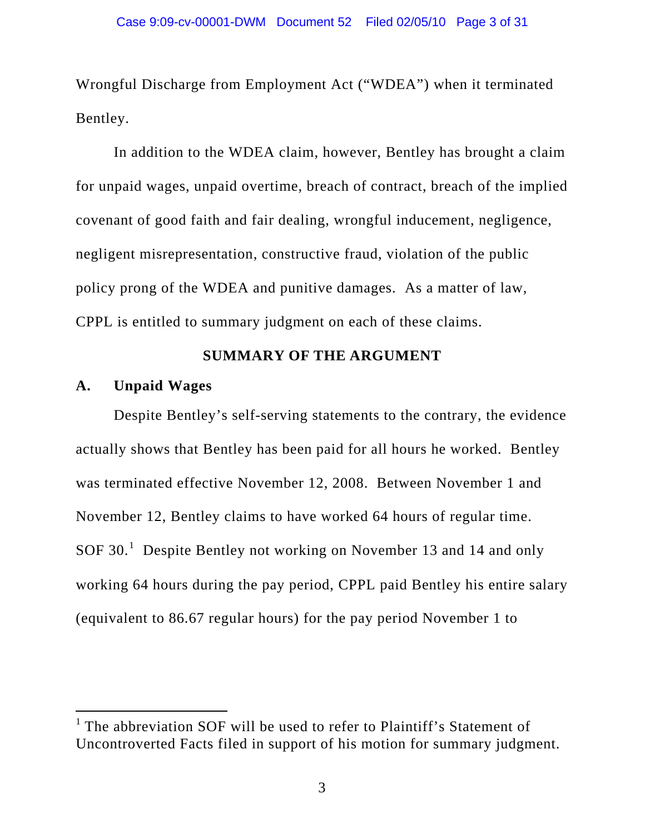Wrongful Discharge from Employment Act ("WDEA") when it terminated Bentley.

In addition to the WDEA claim, however, Bentley has brought a claim for unpaid wages, unpaid overtime, breach of contract, breach of the implied covenant of good faith and fair dealing, wrongful inducement, negligence, negligent misrepresentation, constructive fraud, violation of the public policy prong of the WDEA and punitive damages. As a matter of law, CPPL is entitled to summary judgment on each of these claims.

### **SUMMARY OF THE ARGUMENT**

### **A. Unpaid Wages**

-

Despite Bentley's self-serving statements to the contrary, the evidence actually shows that Bentley has been paid for all hours he worked. Bentley was terminated effective November 12, 2008. Between November 1 and November 12, Bentley claims to have worked 64 hours of regular time. SOF 30.<sup>[1](#page-2-0)</sup> Despite Bentley not working on November 13 and 14 and only working 64 hours during the pay period, CPPL paid Bentley his entire salary (equivalent to 86.67 regular hours) for the pay period November 1 to

<span id="page-2-0"></span><sup>&</sup>lt;sup>1</sup> The abbreviation SOF will be used to refer to Plaintiff's Statement of Uncontroverted Facts filed in support of his motion for summary judgment.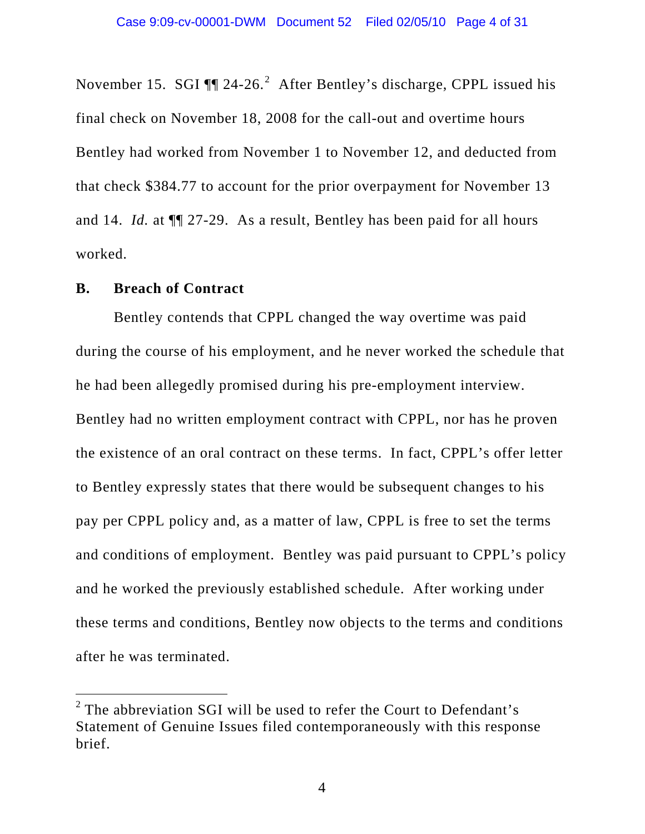November 15. SGI  $\P$  [2](#page-3-0)4-26.<sup>2</sup> After Bentley's discharge, CPPL issued his final check on November 18, 2008 for the call-out and overtime hours Bentley had worked from November 1 to November 12, and deducted from that check \$384.77 to account for the prior overpayment for November 13 and 14. *Id.* at ¶¶ 27-29. As a result, Bentley has been paid for all hours worked.

#### **B. Breach of Contract**

 $\overline{a}$ 

Bentley contends that CPPL changed the way overtime was paid during the course of his employment, and he never worked the schedule that he had been allegedly promised during his pre-employment interview. Bentley had no written employment contract with CPPL, nor has he proven the existence of an oral contract on these terms. In fact, CPPL's offer letter to Bentley expressly states that there would be subsequent changes to his pay per CPPL policy and, as a matter of law, CPPL is free to set the terms and conditions of employment. Bentley was paid pursuant to CPPL's policy and he worked the previously established schedule. After working under these terms and conditions, Bentley now objects to the terms and conditions after he was terminated.

<span id="page-3-0"></span> $2$  The abbreviation SGI will be used to refer the Court to Defendant's Statement of Genuine Issues filed contemporaneously with this response brief.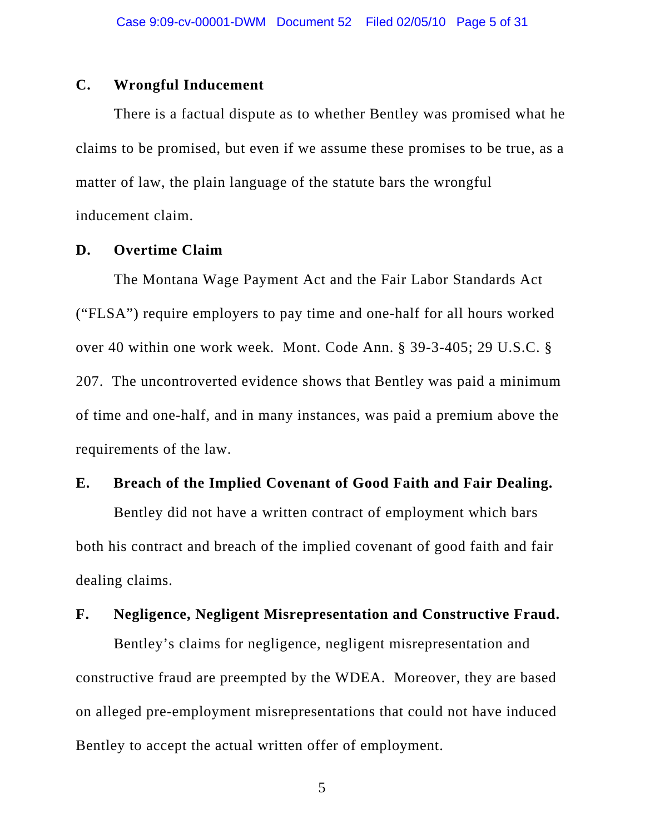#### **C. Wrongful Inducement**

There is a factual dispute as to whether Bentley was promised what he claims to be promised, but even if we assume these promises to be true, as a matter of law, the plain language of the statute bars the wrongful inducement claim.

### **D. Overtime Claim**

The Montana Wage Payment Act and the Fair Labor Standards Act ("FLSA") require employers to pay time and one-half for all hours worked over 40 within one work week. Mont. Code Ann. § 39-3-405; 29 U.S.C. § 207. The uncontroverted evidence shows that Bentley was paid a minimum of time and one-half, and in many instances, was paid a premium above the requirements of the law.

### **E. Breach of the Implied Covenant of Good Faith and Fair Dealing.**

Bentley did not have a written contract of employment which bars both his contract and breach of the implied covenant of good faith and fair dealing claims.

### **F. Negligence, Negligent Misrepresentation and Constructive Fraud.**

Bentley's claims for negligence, negligent misrepresentation and constructive fraud are preempted by the WDEA. Moreover, they are based on alleged pre-employment misrepresentations that could not have induced Bentley to accept the actual written offer of employment.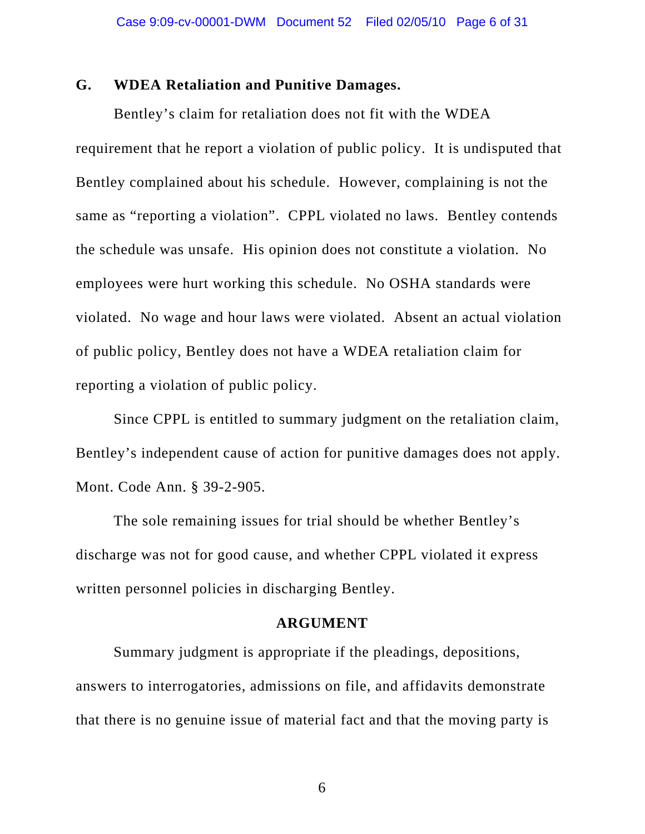#### **G. WDEA Retaliation and Punitive Damages.**

Bentley's claim for retaliation does not fit with the WDEA requirement that he report a violation of public policy. It is undisputed that Bentley complained about his schedule. However, complaining is not the same as "reporting a violation". CPPL violated no laws. Bentley contends the schedule was unsafe. His opinion does not constitute a violation. No employees were hurt working this schedule. No OSHA standards were violated. No wage and hour laws were violated. Absent an actual violation of public policy, Bentley does not have a WDEA retaliation claim for reporting a violation of public policy.

Since CPPL is entitled to summary judgment on the retaliation claim, Bentley's independent cause of action for punitive damages does not apply. Mont. Code Ann. § 39-2-905.

The sole remaining issues for trial should be whether Bentley's discharge was not for good cause, and whether CPPL violated it express written personnel policies in discharging Bentley.

#### **ARGUMENT**

Summary judgment is appropriate if the pleadings, depositions, answers to interrogatories, admissions on file, and affidavits demonstrate that there is no genuine issue of material fact and that the moving party is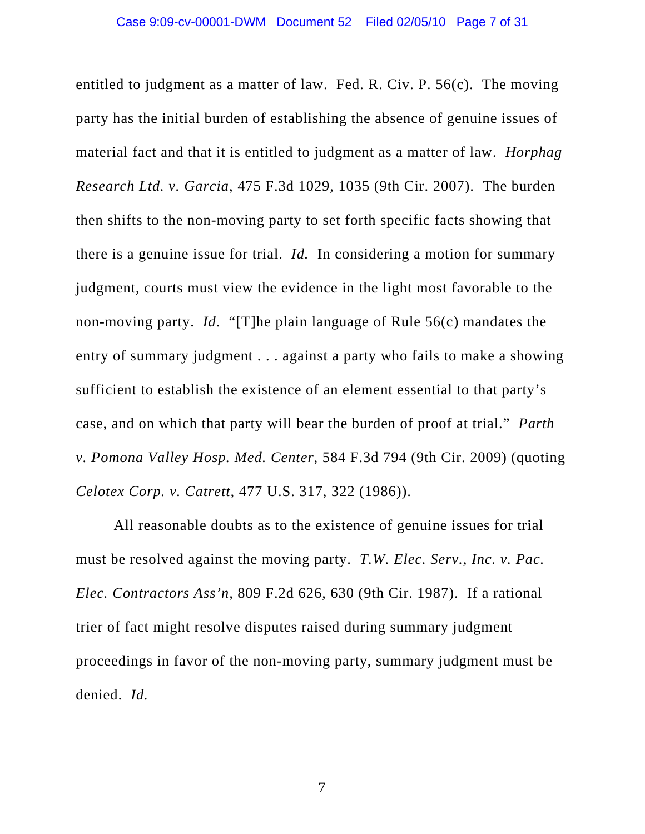entitled to judgment as a matter of law. Fed. R. Civ. P. 56(c). The moving party has the initial burden of establishing the absence of genuine issues of material fact and that it is entitled to judgment as a matter of law. *Horphag Research Ltd. v. Garcia*, 475 F.3d 1029, 1035 (9th Cir. 2007). The burden then shifts to the non-moving party to set forth specific facts showing that there is a genuine issue for trial. *Id.* In considering a motion for summary judgment, courts must view the evidence in the light most favorable to the non-moving party. *Id*. "[T]he plain language of Rule 56(c) mandates the entry of summary judgment . . . against a party who fails to make a showing sufficient to establish the existence of an element essential to that party's case, and on which that party will bear the burden of proof at trial." *Parth v. Pomona Valley Hosp. Med. Center*, 584 F.3d 794 (9th Cir. 2009) (quoting *Celotex Corp. v. Catrett*, 477 U.S. 317, 322 (1986)).

All reasonable doubts as to the existence of genuine issues for trial must be resolved against the moving party. *T.W. Elec. Serv., Inc. v. Pac. Elec. Contractors Ass'n,* 809 F.2d 626, 630 (9th Cir. 1987). If a rational trier of fact might resolve disputes raised during summary judgment proceedings in favor of the non-moving party, summary judgment must be denied. *Id.*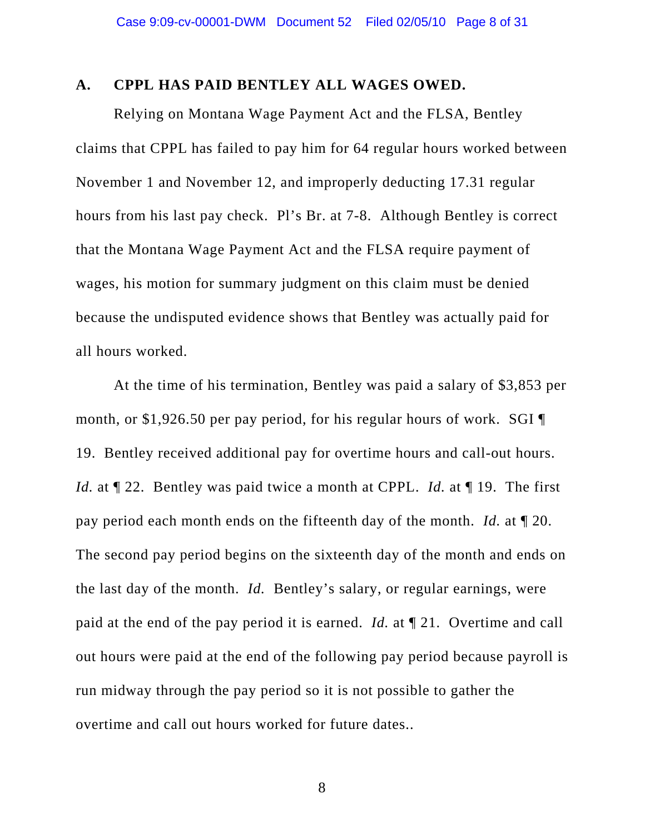#### **A. CPPL HAS PAID BENTLEY ALL WAGES OWED.**

Relying on Montana Wage Payment Act and the FLSA, Bentley claims that CPPL has failed to pay him for 64 regular hours worked between November 1 and November 12, and improperly deducting 17.31 regular hours from his last pay check. Pl's Br. at 7-8. Although Bentley is correct that the Montana Wage Payment Act and the FLSA require payment of wages, his motion for summary judgment on this claim must be denied because the undisputed evidence shows that Bentley was actually paid for all hours worked.

At the time of his termination, Bentley was paid a salary of \$3,853 per month, or \$1,926.50 per pay period, for his regular hours of work. SGI ¶ 19. Bentley received additional pay for overtime hours and call-out hours. *Id.* at  $\P$  22. Bentley was paid twice a month at CPPL. *Id.* at  $\P$  19. The first pay period each month ends on the fifteenth day of the month. *Id.* at ¶ 20. The second pay period begins on the sixteenth day of the month and ends on the last day of the month. *Id.* Bentley's salary, or regular earnings, were paid at the end of the pay period it is earned. *Id.* at ¶ 21. Overtime and call out hours were paid at the end of the following pay period because payroll is run midway through the pay period so it is not possible to gather the overtime and call out hours worked for future dates..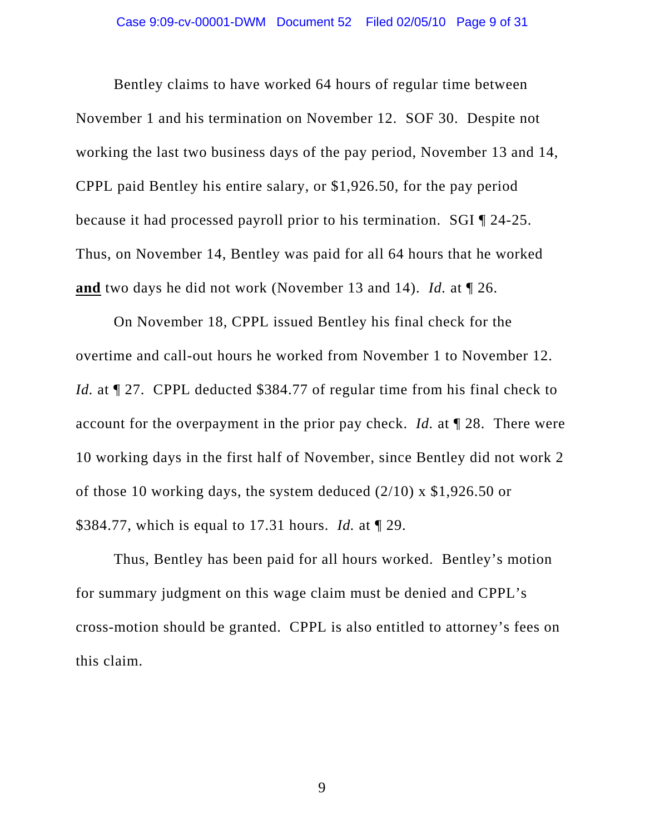Bentley claims to have worked 64 hours of regular time between November 1 and his termination on November 12. SOF 30. Despite not working the last two business days of the pay period, November 13 and 14, CPPL paid Bentley his entire salary, or \$1,926.50, for the pay period because it had processed payroll prior to his termination. SGI ¶ 24-25. Thus, on November 14, Bentley was paid for all 64 hours that he worked **and** two days he did not work (November 13 and 14). *Id.* at ¶ 26.

On November 18, CPPL issued Bentley his final check for the overtime and call-out hours he worked from November 1 to November 12. *Id.* at  $\llbracket 27$ . CPPL deducted \$384.77 of regular time from his final check to account for the overpayment in the prior pay check. *Id.* at ¶ 28. There were 10 working days in the first half of November, since Bentley did not work 2 of those 10 working days, the system deduced (2/10) x \$1,926.50 or \$384.77, which is equal to 17.31 hours. *Id.* at ¶ 29.

Thus, Bentley has been paid for all hours worked. Bentley's motion for summary judgment on this wage claim must be denied and CPPL's cross-motion should be granted. CPPL is also entitled to attorney's fees on this claim.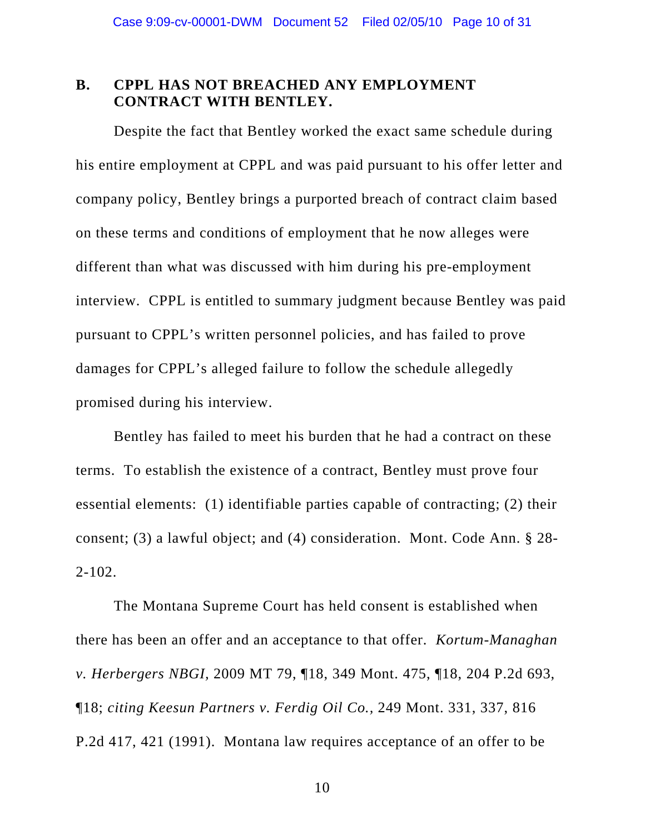### **B. CPPL HAS NOT BREACHED ANY EMPLOYMENT CONTRACT WITH BENTLEY.**

Despite the fact that Bentley worked the exact same schedule during his entire employment at CPPL and was paid pursuant to his offer letter and company policy, Bentley brings a purported breach of contract claim based on these terms and conditions of employment that he now alleges were different than what was discussed with him during his pre-employment interview. CPPL is entitled to summary judgment because Bentley was paid pursuant to CPPL's written personnel policies, and has failed to prove damages for CPPL's alleged failure to follow the schedule allegedly promised during his interview.

Bentley has failed to meet his burden that he had a contract on these terms. To establish the existence of a contract, Bentley must prove four essential elements: (1) identifiable parties capable of contracting; (2) their consent; (3) a lawful object; and (4) consideration. Mont. Code Ann. § 28- 2-102.

The Montana Supreme Court has held consent is established when there has been an offer and an acceptance to that offer. *Kortum-Managhan v. Herbergers NBGI,* 2009 MT 79, ¶18, 349 Mont. 475, ¶18, 204 P.2d 693, ¶18; *citing Keesun Partners v. Ferdig Oil Co.,* 249 Mont. 331, 337, 816 P.2d 417, 421 (1991). Montana law requires acceptance of an offer to be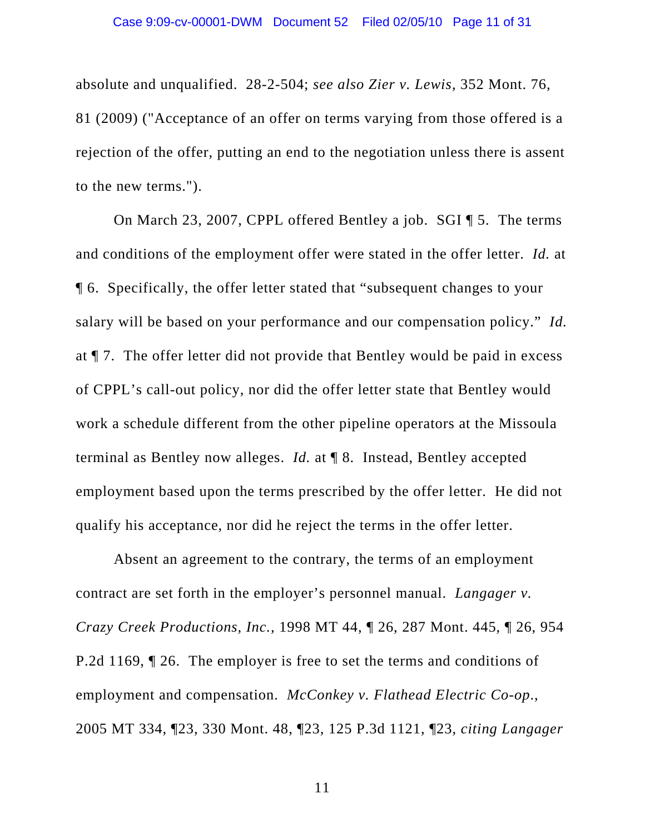absolute and unqualified. 28-2-504; *see also Zier v. Lewis*, 352 Mont. 76, 81 (2009) ("Acceptance of an offer on terms varying from those offered is a rejection of the offer, putting an end to the negotiation unless there is assent to the new terms.").

On March 23, 2007, CPPL offered Bentley a job. SGI ¶ 5. The terms and conditions of the employment offer were stated in the offer letter. *Id.* at ¶ 6. Specifically, the offer letter stated that "subsequent changes to your salary will be based on your performance and our compensation policy." *Id.*  at ¶ 7. The offer letter did not provide that Bentley would be paid in excess of CPPL's call-out policy, nor did the offer letter state that Bentley would work a schedule different from the other pipeline operators at the Missoula terminal as Bentley now alleges. *Id.* at ¶ 8. Instead, Bentley accepted employment based upon the terms prescribed by the offer letter. He did not qualify his acceptance, nor did he reject the terms in the offer letter.

Absent an agreement to the contrary, the terms of an employment contract are set forth in the employer's personnel manual. *Langager v. Crazy Creek Productions, Inc.,* 1998 MT 44, ¶ 26, 287 Mont. 445, ¶ 26, 954 P.2d 1169, ¶ 26. The employer is free to set the terms and conditions of employment and compensation. *McConkey v. Flathead Electric Co-op*., 2005 MT 334, ¶23, 330 Mont. 48, ¶23, 125 P.3d 1121, ¶23, *citing Langager*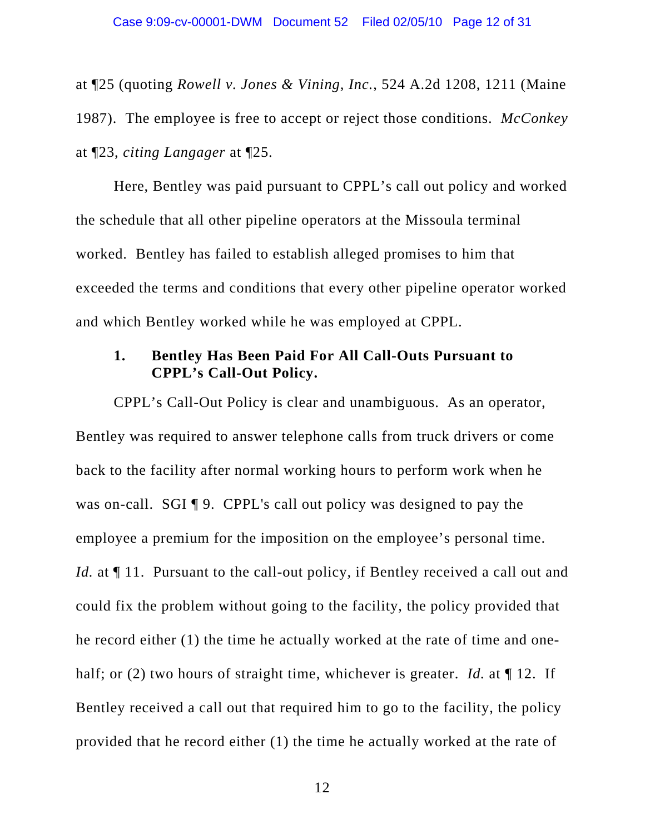at ¶25 (quoting *Rowell v. Jones & Vining, Inc.*, 524 A.2d 1208, 1211 (Maine 1987). The employee is free to accept or reject those conditions. *McConkey* at ¶23, *citing Langager* at ¶25.

Here, Bentley was paid pursuant to CPPL's call out policy and worked the schedule that all other pipeline operators at the Missoula terminal worked. Bentley has failed to establish alleged promises to him that exceeded the terms and conditions that every other pipeline operator worked and which Bentley worked while he was employed at CPPL.

### **1. Bentley Has Been Paid For All Call-Outs Pursuant to CPPL's Call-Out Policy.**

CPPL's Call-Out Policy is clear and unambiguous. As an operator, Bentley was required to answer telephone calls from truck drivers or come back to the facility after normal working hours to perform work when he was on-call. SGI ¶ 9. CPPL's call out policy was designed to pay the employee a premium for the imposition on the employee's personal time. *Id.* at  $\P$  11. Pursuant to the call-out policy, if Bentley received a call out and could fix the problem without going to the facility, the policy provided that he record either (1) the time he actually worked at the rate of time and onehalf; or (2) two hours of straight time, whichever is greater. *Id.* at  $\P$  12. If Bentley received a call out that required him to go to the facility, the policy provided that he record either (1) the time he actually worked at the rate of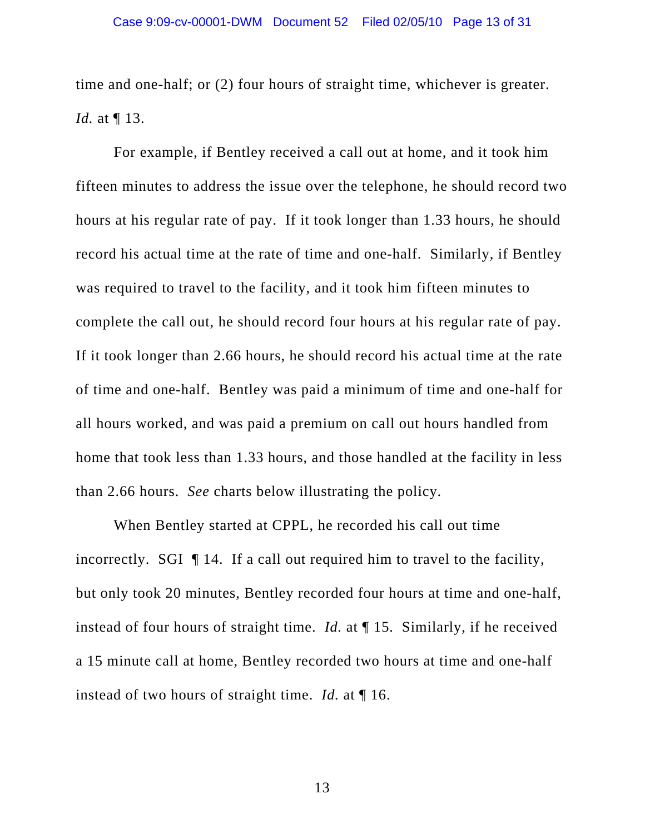time and one-half; or (2) four hours of straight time, whichever is greater. *Id.* at ¶ 13.

For example, if Bentley received a call out at home, and it took him fifteen minutes to address the issue over the telephone, he should record two hours at his regular rate of pay. If it took longer than 1.33 hours, he should record his actual time at the rate of time and one-half. Similarly, if Bentley was required to travel to the facility, and it took him fifteen minutes to complete the call out, he should record four hours at his regular rate of pay. If it took longer than 2.66 hours, he should record his actual time at the rate of time and one-half. Bentley was paid a minimum of time and one-half for all hours worked, and was paid a premium on call out hours handled from home that took less than 1.33 hours, and those handled at the facility in less than 2.66 hours. *See* charts below illustrating the policy.

When Bentley started at CPPL, he recorded his call out time incorrectly. SGI ¶ 14. If a call out required him to travel to the facility, but only took 20 minutes, Bentley recorded four hours at time and one-half, instead of four hours of straight time. *Id.* at ¶ 15. Similarly, if he received a 15 minute call at home, Bentley recorded two hours at time and one-half instead of two hours of straight time. *Id.* at ¶ 16.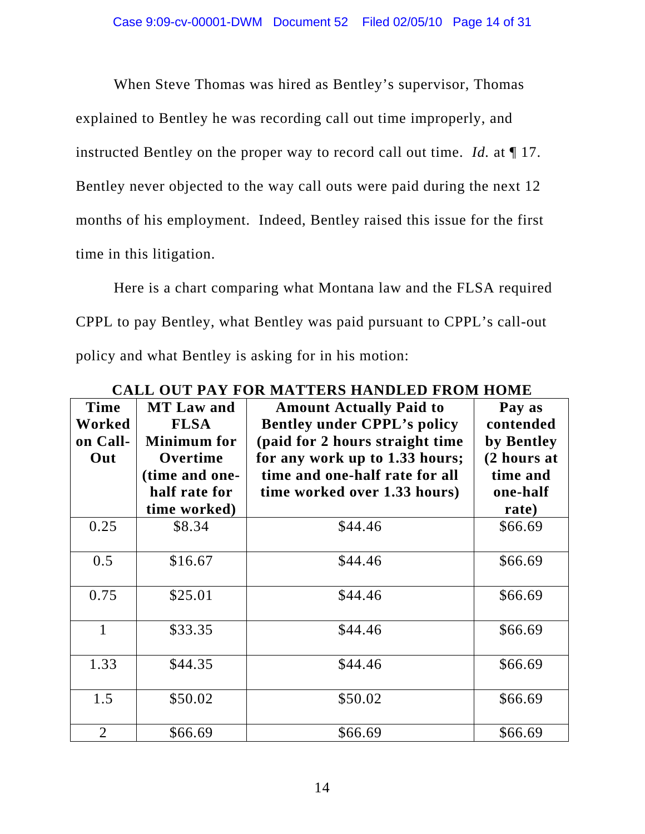When Steve Thomas was hired as Bentley's supervisor, Thomas explained to Bentley he was recording call out time improperly, and instructed Bentley on the proper way to record call out time. *Id.* at ¶ 17. Bentley never objected to the way call outs were paid during the next 12 months of his employment. Indeed, Bentley raised this issue for the first time in this litigation.

Here is a chart comparing what Montana law and the FLSA required CPPL to pay Bentley, what Bentley was paid pursuant to CPPL's call-out policy and what Bentley is asking for in his motion:

| Time<br>Worked<br>on Call-<br>Out | <b>MT Law and</b><br><b>FLSA</b><br><b>Minimum</b> for<br>Overtime<br>(time and one-<br>half rate for<br>time worked) | <b>Amount Actually Paid to</b><br><b>Bentley under CPPL's policy</b><br>(paid for 2 hours straight time<br>for any work up to 1.33 hours;<br>time and one-half rate for all<br>time worked over 1.33 hours) | Pay as<br>contended<br>by Bentley<br>(2 hours at<br>time and<br>one-half<br>rate) |
|-----------------------------------|-----------------------------------------------------------------------------------------------------------------------|-------------------------------------------------------------------------------------------------------------------------------------------------------------------------------------------------------------|-----------------------------------------------------------------------------------|
| 0.25                              | \$8.34                                                                                                                | \$44.46                                                                                                                                                                                                     | \$66.69                                                                           |
| 0.5                               | \$16.67                                                                                                               | \$44.46                                                                                                                                                                                                     | \$66.69                                                                           |
| 0.75                              | \$25.01                                                                                                               | \$44.46                                                                                                                                                                                                     | \$66.69                                                                           |
| 1                                 | \$33.35                                                                                                               | \$44.46                                                                                                                                                                                                     | \$66.69                                                                           |
| 1.33                              | \$44.35                                                                                                               | \$44.46                                                                                                                                                                                                     | \$66.69                                                                           |
| 1.5                               | \$50.02                                                                                                               | \$50.02                                                                                                                                                                                                     | \$66.69                                                                           |
| $\overline{2}$                    | \$66.69                                                                                                               | \$66.69                                                                                                                                                                                                     | \$66.69                                                                           |

**CALL OUT PAY FOR MATTERS HANDLED FROM HOME**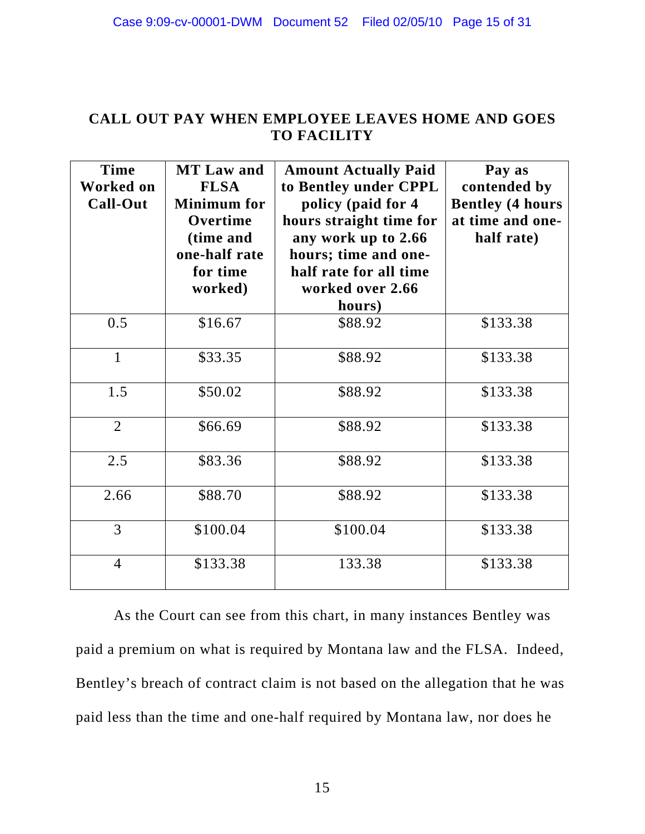# **CALL OUT PAY WHEN EMPLOYEE LEAVES HOME AND GOES TO FACILITY**

| <b>Time</b><br><b>Worked on</b><br>Call-Out | <b>MT Law and</b><br><b>FLSA</b><br><b>Minimum</b> for<br>Overtime<br>(time and<br>one-half rate<br>for time<br>worked) | <b>Amount Actually Paid</b><br>to Bentley under CPPL<br>policy (paid for 4<br>hours straight time for<br>any work up to 2.66<br>hours; time and one-<br>half rate for all time<br>worked over 2.66<br>hours) | Pay as<br>contended by<br><b>Bentley (4 hours</b><br>at time and one-<br>half rate) |
|---------------------------------------------|-------------------------------------------------------------------------------------------------------------------------|--------------------------------------------------------------------------------------------------------------------------------------------------------------------------------------------------------------|-------------------------------------------------------------------------------------|
| 0.5                                         | \$16.67                                                                                                                 | \$88.92                                                                                                                                                                                                      | \$133.38                                                                            |
| $\mathbf{1}$                                | \$33.35                                                                                                                 | \$88.92                                                                                                                                                                                                      | \$133.38                                                                            |
| 1.5                                         | \$50.02                                                                                                                 | \$88.92                                                                                                                                                                                                      | \$133.38                                                                            |
| $\overline{2}$                              | \$66.69                                                                                                                 | \$88.92                                                                                                                                                                                                      | \$133.38                                                                            |
| 2.5                                         | \$83.36                                                                                                                 | \$88.92                                                                                                                                                                                                      | \$133.38                                                                            |
| 2.66                                        | \$88.70                                                                                                                 | \$88.92                                                                                                                                                                                                      | \$133.38                                                                            |
| 3                                           | \$100.04                                                                                                                | \$100.04                                                                                                                                                                                                     | \$133.38                                                                            |
| $\overline{4}$                              | \$133.38                                                                                                                | 133.38                                                                                                                                                                                                       | \$133.38                                                                            |

As the Court can see from this chart, in many instances Bentley was paid a premium on what is required by Montana law and the FLSA. Indeed, Bentley's breach of contract claim is not based on the allegation that he was paid less than the time and one-half required by Montana law, nor does he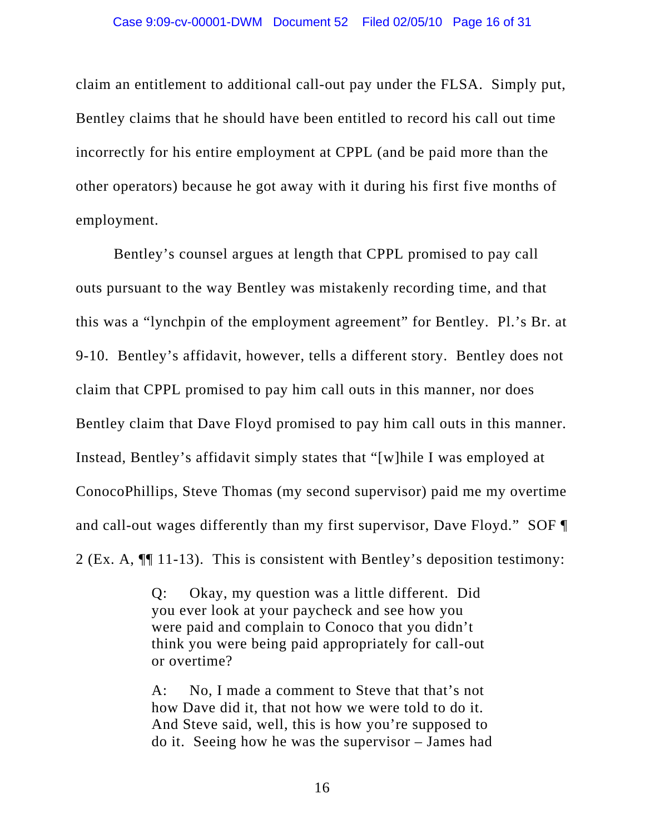claim an entitlement to additional call-out pay under the FLSA. Simply put, Bentley claims that he should have been entitled to record his call out time incorrectly for his entire employment at CPPL (and be paid more than the other operators) because he got away with it during his first five months of employment.

Bentley's counsel argues at length that CPPL promised to pay call outs pursuant to the way Bentley was mistakenly recording time, and that this was a "lynchpin of the employment agreement" for Bentley. Pl.'s Br. at 9-10. Bentley's affidavit, however, tells a different story. Bentley does not claim that CPPL promised to pay him call outs in this manner, nor does Bentley claim that Dave Floyd promised to pay him call outs in this manner. Instead, Bentley's affidavit simply states that "[w]hile I was employed at ConocoPhillips, Steve Thomas (my second supervisor) paid me my overtime and call-out wages differently than my first supervisor, Dave Floyd." SOF ¶ 2 (Ex. A, ¶¶ 11-13). This is consistent with Bentley's deposition testimony:

> Q: Okay, my question was a little different. Did you ever look at your paycheck and see how you were paid and complain to Conoco that you didn't think you were being paid appropriately for call-out or overtime?

A: No, I made a comment to Steve that that's not how Dave did it, that not how we were told to do it. And Steve said, well, this is how you're supposed to do it. Seeing how he was the supervisor – James had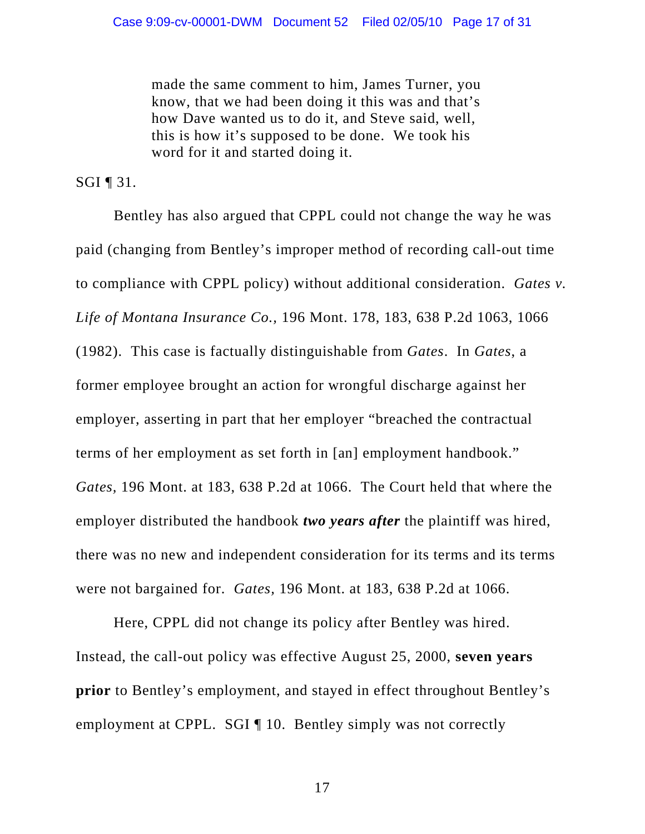made the same comment to him, James Turner, you know, that we had been doing it this was and that's how Dave wanted us to do it, and Steve said, well, this is how it's supposed to be done. We took his word for it and started doing it.

SGI  $\P$  31.

Bentley has also argued that CPPL could not change the way he was paid (changing from Bentley's improper method of recording call-out time to compliance with CPPL policy) without additional consideration. *Gates v. Life of Montana Insurance Co.,* 196 Mont. 178, 183, 638 P.2d 1063, 1066 (1982). This case is factually distinguishable from *Gates*. In *Gates*, a former employee brought an action for wrongful discharge against her employer, asserting in part that her employer "breached the contractual terms of her employment as set forth in [an] employment handbook." *Gates,* 196 Mont. at 183, 638 P.2d at 1066. The Court held that where the employer distributed the handbook *two years after* the plaintiff was hired, there was no new and independent consideration for its terms and its terms were not bargained for. *Gates,* 196 Mont. at 183, 638 P.2d at 1066.

Here, CPPL did not change its policy after Bentley was hired. Instead, the call-out policy was effective August 25, 2000, **seven years prior** to Bentley's employment, and stayed in effect throughout Bentley's employment at CPPL. SGI | 10. Bentley simply was not correctly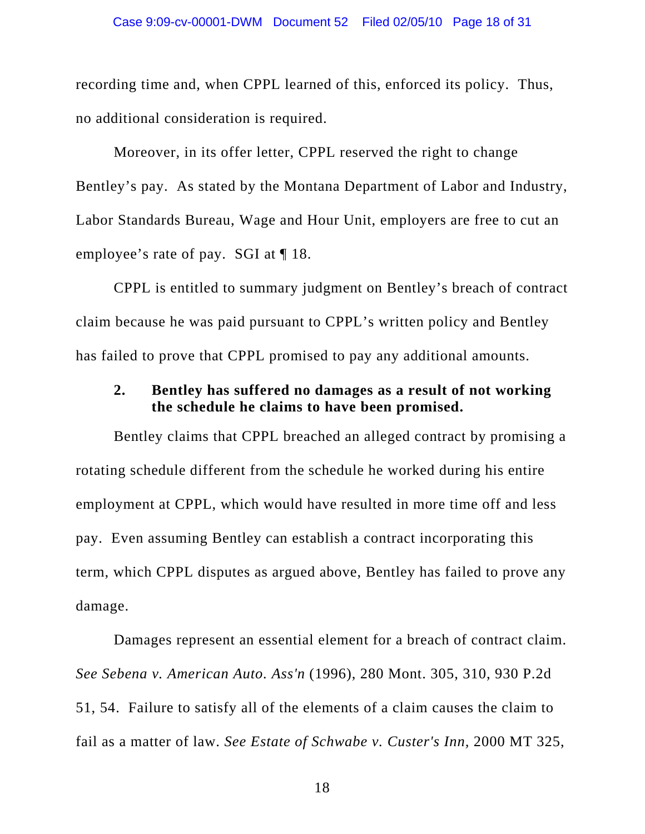recording time and, when CPPL learned of this, enforced its policy. Thus, no additional consideration is required.

Moreover, in its offer letter, CPPL reserved the right to change Bentley's pay. As stated by the Montana Department of Labor and Industry, Labor Standards Bureau, Wage and Hour Unit, employers are free to cut an employee's rate of pay. SGI at ¶ 18.

CPPL is entitled to summary judgment on Bentley's breach of contract claim because he was paid pursuant to CPPL's written policy and Bentley has failed to prove that CPPL promised to pay any additional amounts.

# **2. Bentley has suffered no damages as a result of not working the schedule he claims to have been promised.**

Bentley claims that CPPL breached an alleged contract by promising a rotating schedule different from the schedule he worked during his entire employment at CPPL, which would have resulted in more time off and less pay. Even assuming Bentley can establish a contract incorporating this term, which CPPL disputes as argued above, Bentley has failed to prove any damage.

Damages represent an essential element for a breach of contract claim. *See Sebena v. American Auto. Ass'n* [\(1996\), 280 Mont. 305, 310, 930 P.2d](http://elibraries.westlaw.com/find/default.wl?tf=-1&spa=HollandMT-3005&rs=EW1.0&referencepositiontype=S&serialnum=1996283001&fn=_top&sv=Full&referenceposition=54&findtype=Y&tc=-1&ordoc=2007290661&mt=Westlaw&db=661&vr=2.0&rp=%2ffind%2fdefault.wl&pbc=66481060)  [51, 54](http://elibraries.westlaw.com/find/default.wl?tf=-1&spa=HollandMT-3005&rs=EW1.0&referencepositiontype=S&serialnum=1996283001&fn=_top&sv=Full&referenceposition=54&findtype=Y&tc=-1&ordoc=2007290661&mt=Westlaw&db=661&vr=2.0&rp=%2ffind%2fdefault.wl&pbc=66481060). Failure to satisfy all of the elements of a claim causes the claim to fail as a matter of law. *See [Estate of Schwabe v. Custer's Inn,](http://elibraries.westlaw.com/find/default.wl?tf=-1&spa=HollandMT-3005&rs=EW1.0&serialnum=2000646104&fn=_top&sv=Full&tc=-1&findtype=Y&ordoc=2007290661&mt=Westlaw&db=4645&vr=2.0&rp=%2ffind%2fdefault.wl&pbc=66481060)* 2000 MT 325,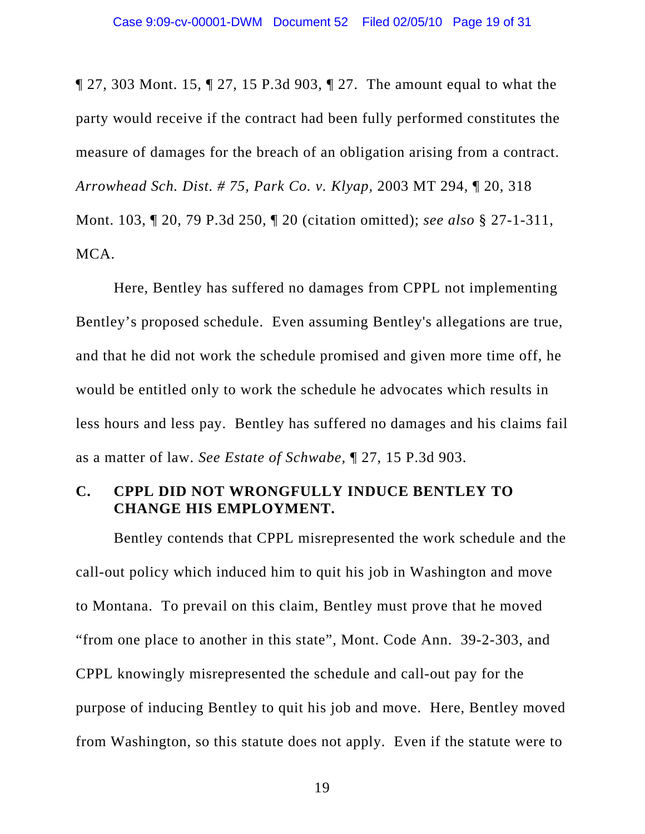[¶ 27, 303 Mont. 15, ¶ 27, 15 P.3d 903, ¶ 27](http://elibraries.westlaw.com/find/default.wl?tf=-1&spa=HollandMT-3005&rs=EW1.0&serialnum=2000646104&fn=_top&sv=Full&tc=-1&findtype=Y&ordoc=2007290661&mt=Westlaw&db=4645&vr=2.0&rp=%2ffind%2fdefault.wl&pbc=66481060). The amount equal to what the party would receive if the contract had been fully performed constitutes the measure of damages for the breach of an obligation arising from a contract. *[Arrowhead Sch. Dist. # 75, Park Co. v. Klyap,](http://elibraries.westlaw.com/find/default.wl?tf=-1&spa=HollandMT-3005&rs=EW1.0&serialnum=2003736117&fn=_top&sv=Full&tc=-1&findtype=Y&ordoc=2007290661&mt=Westlaw&db=4645&vr=2.0&rp=%2ffind%2fdefault.wl&pbc=66481060)* 2003 MT 294, ¶ 20, 318 [Mont. 103, ¶ 20, 79 P.3d 250, ¶ 20](http://elibraries.westlaw.com/find/default.wl?tf=-1&spa=HollandMT-3005&rs=EW1.0&serialnum=2003736117&fn=_top&sv=Full&tc=-1&findtype=Y&ordoc=2007290661&mt=Westlaw&db=4645&vr=2.0&rp=%2ffind%2fdefault.wl&pbc=66481060) (citation omitted); *see also* [§ 27-1-311,](http://elibraries.westlaw.com/find/default.wl?tf=-1&spa=HollandMT-3005&rs=EW1.0&fn=_top&sv=Full&tc=-1&docname=MTST27-1-311&ordoc=2007290661&findtype=L&mt=Westlaw&db=1002018&vr=2.0&rp=%2ffind%2fdefault.wl&pbc=66481060)  [MCA](http://elibraries.westlaw.com/find/default.wl?tf=-1&spa=HollandMT-3005&rs=EW1.0&fn=_top&sv=Full&tc=-1&docname=MTST27-1-311&ordoc=2007290661&findtype=L&mt=Westlaw&db=1002018&vr=2.0&rp=%2ffind%2fdefault.wl&pbc=66481060).

Here, Bentley has suffered no damages from CPPL not implementing Bentley's proposed schedule. Even assuming Bentley's allegations are true, and that he did not work the schedule promised and given more time off, he would be entitled only to work the schedule he advocates which results in less hours and less pay. Bentley has suffered no damages and his claims fail as a matter of law. *See [Estate of Schwabe,](http://elibraries.westlaw.com/find/default.wl?tf=-1&spa=HollandMT-3005&rs=EW1.0&serialnum=2000646104&fn=_top&sv=Full&tc=-1&findtype=Y&ordoc=2007290661&mt=Westlaw&db=4645&vr=2.0&rp=%2ffind%2fdefault.wl&pbc=66481060)* ¶ 27, 15 P.3d 903.

### **C. CPPL DID NOT WRONGFULLY INDUCE BENTLEY TO CHANGE HIS EMPLOYMENT.**

Bentley contends that CPPL misrepresented the work schedule and the call-out policy which induced him to quit his job in Washington and move to Montana. To prevail on this claim, Bentley must prove that he moved "from one place to another in this state", Mont. Code Ann. 39-2-303, and CPPL knowingly misrepresented the schedule and call-out pay for the purpose of inducing Bentley to quit his job and move. Here, Bentley moved from Washington, so this statute does not apply. Even if the statute were to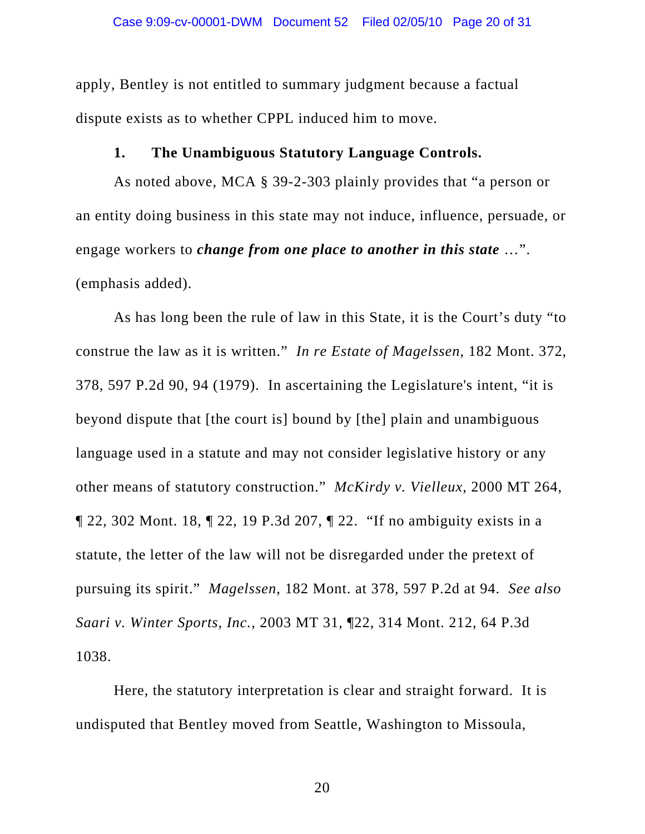apply, Bentley is not entitled to summary judgment because a factual dispute exists as to whether CPPL induced him to move.

# **1. The Unambiguous Statutory Language Controls.**

As noted above, MCA § 39-2-303 plainly provides that "a person or an entity doing business in this state may not induce, influence, persuade, or engage workers to *change from one place to another in this state* …". (emphasis added).

As has long been the rule of law in this State, it is the Court's duty "to construe the law as it is written." *In re Estate of Magelssen*, 182 Mont. 372, 378, 597 P.2d 90, 94 (1979). In ascertaining the Legislature's intent, "it is beyond dispute that [the court is] bound by [the] plain and unambiguous language used in a statute and may not consider legislative history or any other means of statutory construction." *[McKirdy v. Vielleux](http://elibraries.westlaw.com/find/default.wl?rs=EW1.0&serialnum=2000553441&fn=_top&sv=Full&tc=-1&findtype=Y&tf=-1&mt=Westlaw&db=4645&vr=2.0&rp=%2ffind%2fdefault.wl&sp=HollandMT-3005)*, 2000 MT 264, [¶ 22, 302 Mont. 18, ¶ 22, 19 P.3d 207, ¶ 22](http://elibraries.westlaw.com/find/default.wl?rs=EW1.0&serialnum=2000553441&fn=_top&sv=Full&tc=-1&findtype=Y&tf=-1&mt=Westlaw&db=4645&vr=2.0&rp=%2ffind%2fdefault.wl&sp=HollandMT-3005). "If no ambiguity exists in a statute, the letter of the law will not be disregarded under the pretext of pursuing its spirit." *Magelssen*, 182 Mont. at 378, 597 P.2d at 94. *See also Saari v. Winter Sports, Inc.*, 2003 MT 31, ¶22, 314 Mont. 212, 64 P.3d 1038.

Here, the statutory interpretation is clear and straight forward. It is undisputed that Bentley moved from Seattle, Washington to Missoula,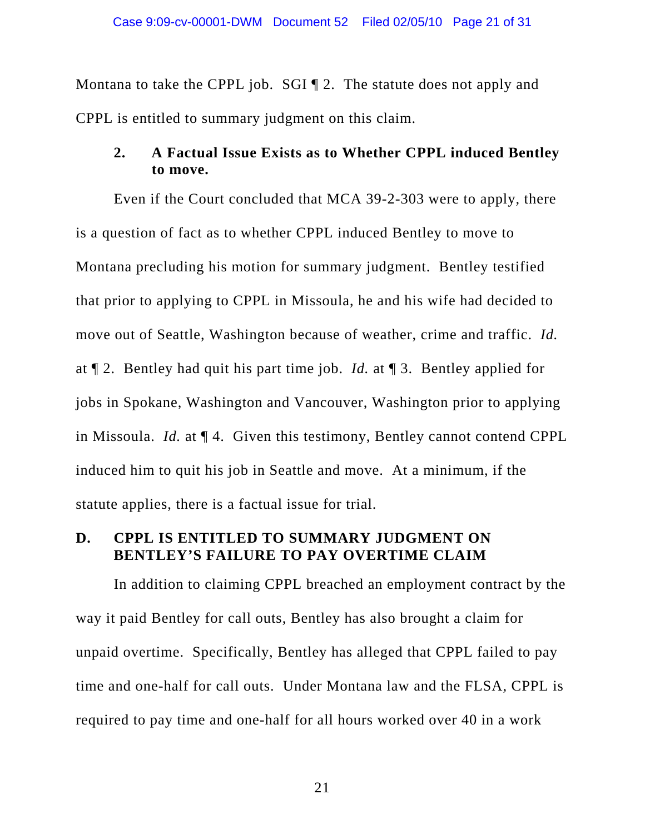Montana to take the CPPL job. SGI ¶ 2. The statute does not apply and CPPL is entitled to summary judgment on this claim.

# **2. A Factual Issue Exists as to Whether CPPL induced Bentley to move.**

Even if the Court concluded that MCA 39-2-303 were to apply, there is a question of fact as to whether CPPL induced Bentley to move to Montana precluding his motion for summary judgment. Bentley testified that prior to applying to CPPL in Missoula, he and his wife had decided to move out of Seattle, Washington because of weather, crime and traffic. *Id.* at ¶ 2. Bentley had quit his part time job. *Id.* at ¶ 3. Bentley applied for jobs in Spokane, Washington and Vancouver, Washington prior to applying in Missoula. *Id.* at ¶ 4. Given this testimony, Bentley cannot contend CPPL induced him to quit his job in Seattle and move. At a minimum, if the statute applies, there is a factual issue for trial.

### **D. CPPL IS ENTITLED TO SUMMARY JUDGMENT ON BENTLEY'S FAILURE TO PAY OVERTIME CLAIM**

In addition to claiming CPPL breached an employment contract by the way it paid Bentley for call outs, Bentley has also brought a claim for unpaid overtime. Specifically, Bentley has alleged that CPPL failed to pay time and one-half for call outs. Under Montana law and the FLSA, CPPL is required to pay time and one-half for all hours worked over 40 in a work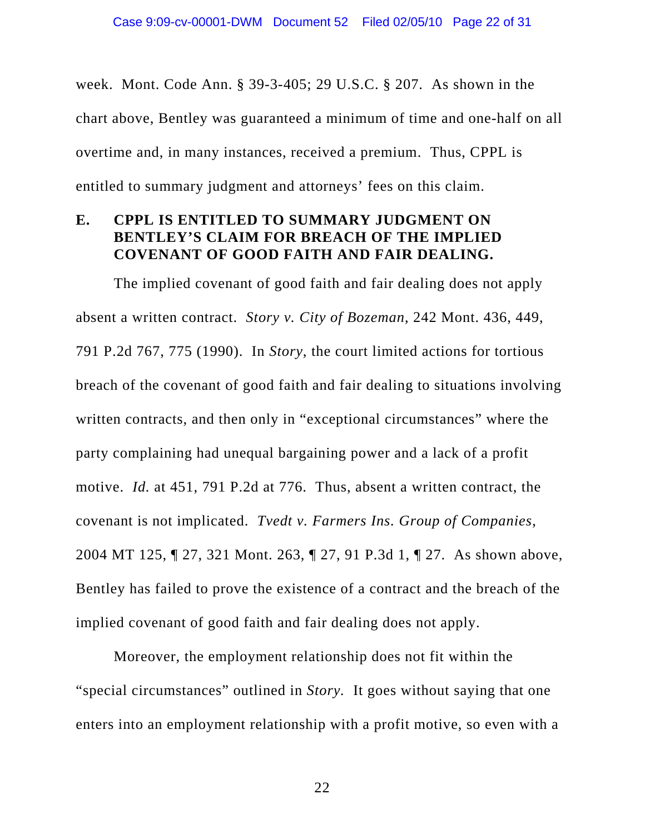week. Mont. Code Ann. § 39-3-405; 29 U.S.C. § 207. As shown in the chart above, Bentley was guaranteed a minimum of time and one-half on all overtime and, in many instances, received a premium. Thus, CPPL is entitled to summary judgment and attorneys' fees on this claim.

### **E. CPPL IS ENTITLED TO SUMMARY JUDGMENT ON BENTLEY'S CLAIM FOR BREACH OF THE IMPLIED COVENANT OF GOOD FAITH AND FAIR DEALING.**

The implied covenant of good faith and fair dealing does not apply absent a written contract. *Story v. City of Bozeman*, 242 Mont. 436, 449, 791 P.2d 767, 775 (1990). In *Story*, the court limited actions for tortious breach of the covenant of good faith and fair dealing to situations involving written contracts, and then only in "exceptional circumstances" where the party complaining had unequal bargaining power and a lack of a profit motive. *Id.* at 451, 791 P.2d at 776. Thus, absent a written contract, the covenant is not implicated. *Tvedt v. Farmers Ins. Group of Companies*, 2004 MT 125, ¶ 27, 321 Mont. 263, ¶ 27, 91 P.3d 1, ¶ 27. As shown above, Bentley has failed to prove the existence of a contract and the breach of the implied covenant of good faith and fair dealing does not apply.

Moreover, the employment relationship does not fit within the "special circumstances" outlined in *Story.* It goes without saying that one enters into an employment relationship with a profit motive, so even with a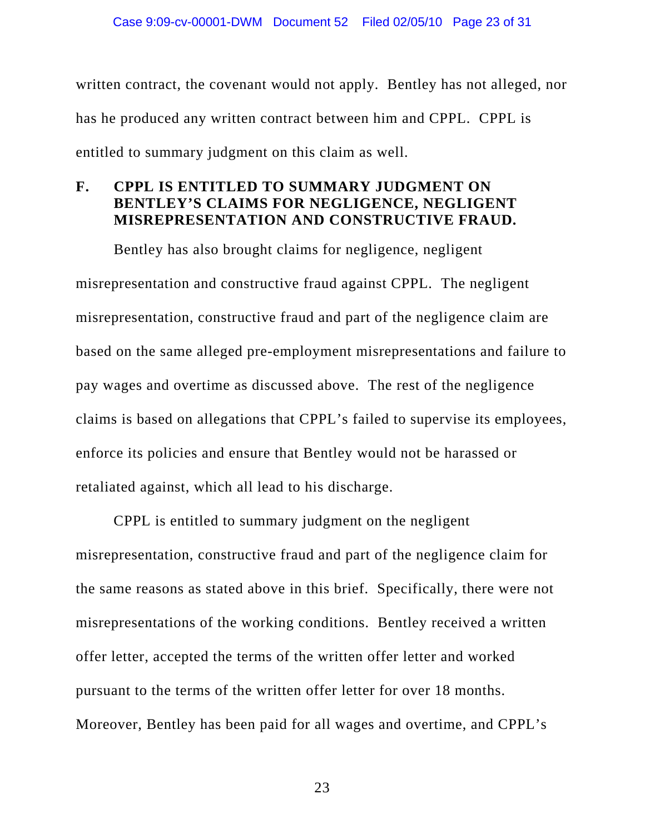written contract, the covenant would not apply. Bentley has not alleged, nor has he produced any written contract between him and CPPL. CPPL is entitled to summary judgment on this claim as well.

# **F. CPPL IS ENTITLED TO SUMMARY JUDGMENT ON BENTLEY'S CLAIMS FOR NEGLIGENCE, NEGLIGENT MISREPRESENTATION AND CONSTRUCTIVE FRAUD.**

Bentley has also brought claims for negligence, negligent misrepresentation and constructive fraud against CPPL. The negligent misrepresentation, constructive fraud and part of the negligence claim are based on the same alleged pre-employment misrepresentations and failure to pay wages and overtime as discussed above. The rest of the negligence claims is based on allegations that CPPL's failed to supervise its employees, enforce its policies and ensure that Bentley would not be harassed or retaliated against, which all lead to his discharge.

CPPL is entitled to summary judgment on the negligent misrepresentation, constructive fraud and part of the negligence claim for the same reasons as stated above in this brief. Specifically, there were not misrepresentations of the working conditions. Bentley received a written offer letter, accepted the terms of the written offer letter and worked pursuant to the terms of the written offer letter for over 18 months. Moreover, Bentley has been paid for all wages and overtime, and CPPL's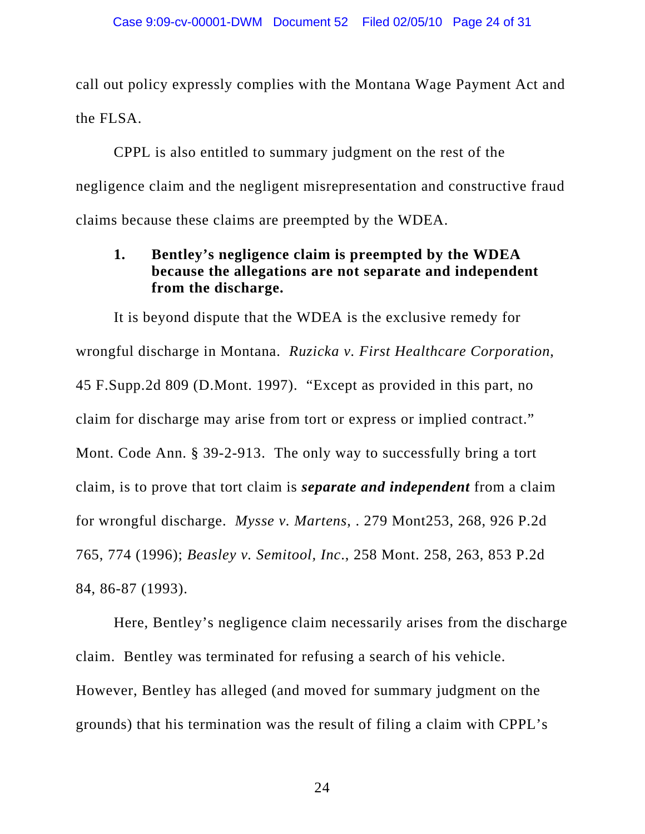call out policy expressly complies with the Montana Wage Payment Act and the FLSA.

CPPL is also entitled to summary judgment on the rest of the negligence claim and the negligent misrepresentation and constructive fraud claims because these claims are preempted by the WDEA.

# **1. Bentley's negligence claim is preempted by the WDEA because the allegations are not separate and independent from the discharge.**

It is beyond dispute that the WDEA is the exclusive remedy for wrongful discharge in Montana. *Ruzicka v. First Healthcare Corporation*, 45 F.Supp.2d 809 (D.Mont. 1997). "Except as provided in this part, no claim for discharge may arise from tort or express or implied contract." Mont. Code Ann. § 39-2-913. The only way to successfully bring a tort claim, is to prove that tort claim is *separate and independent* from a claim for wrongful discharge. *Mysse v. Martens*, . 279 Mont253, 268, 926 P.2d 765, 774 (1996); *Beasley v. Semitool, Inc*., 258 Mont. 258, 263, 853 P.2d 84, 86-87 (1993).

Here, Bentley's negligence claim necessarily arises from the discharge claim. Bentley was terminated for refusing a search of his vehicle. However, Bentley has alleged (and moved for summary judgment on the grounds) that his termination was the result of filing a claim with CPPL's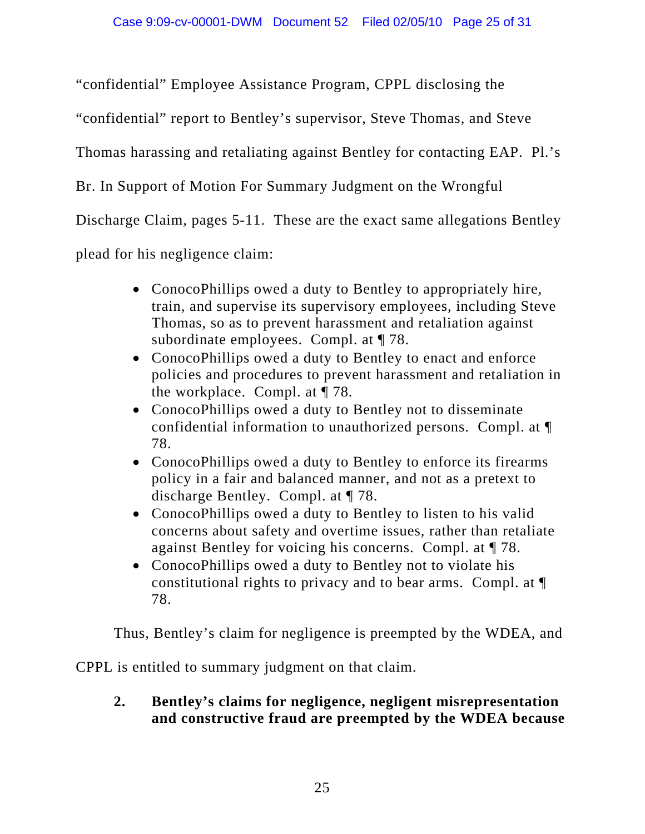"confidential" Employee Assistance Program, CPPL disclosing the

"confidential" report to Bentley's supervisor, Steve Thomas, and Steve

Thomas harassing and retaliating against Bentley for contacting EAP. Pl.'s

Br. In Support of Motion For Summary Judgment on the Wrongful

Discharge Claim, pages 5-11. These are the exact same allegations Bentley

plead for his negligence claim:

- ConocoPhillips owed a duty to Bentley to appropriately hire, train, and supervise its supervisory employees, including Steve Thomas, so as to prevent harassment and retaliation against subordinate employees. Compl. at ¶ 78.
- ConocoPhillips owed a duty to Bentley to enact and enforce policies and procedures to prevent harassment and retaliation in the workplace. Compl. at ¶ 78.
- ConocoPhillips owed a duty to Bentley not to disseminate confidential information to unauthorized persons. Compl. at ¶ 78.
- ConocoPhillips owed a duty to Bentley to enforce its firearms policy in a fair and balanced manner, and not as a pretext to discharge Bentley. Compl. at ¶ 78.
- ConocoPhillips owed a duty to Bentley to listen to his valid concerns about safety and overtime issues, rather than retaliate against Bentley for voicing his concerns. Compl. at ¶ 78.
- ConocoPhillips owed a duty to Bentley not to violate his constitutional rights to privacy and to bear arms. Compl. at ¶ 78.

Thus, Bentley's claim for negligence is preempted by the WDEA, and

CPPL is entitled to summary judgment on that claim.

# **2. Bentley's claims for negligence, negligent misrepresentation and constructive fraud are preempted by the WDEA because**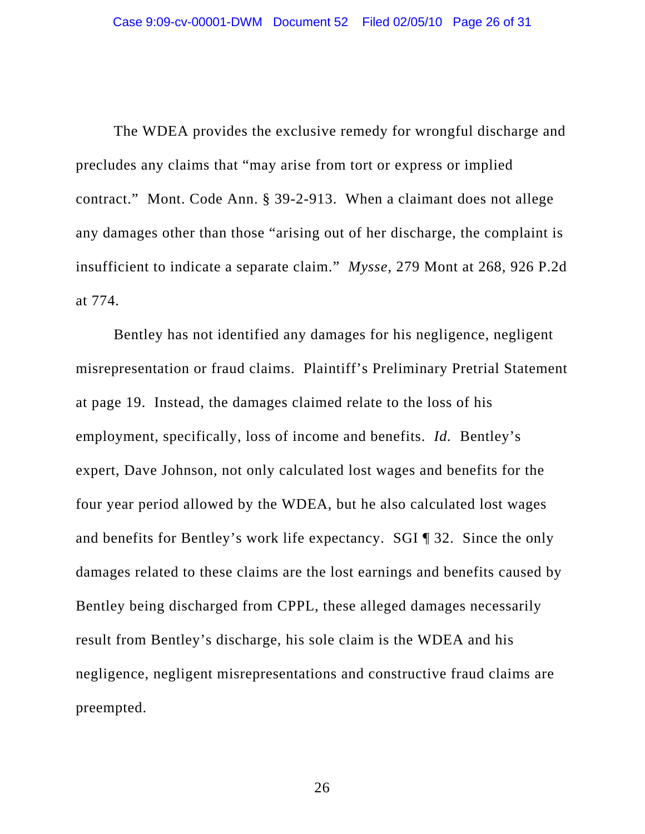The WDEA provides the exclusive remedy for wrongful discharge and precludes any claims that "may arise from tort or express or implied contract." Mont. Code Ann. § 39-2-913. When a claimant does not allege any damages other than those "arising out of her discharge, the complaint is insufficient to indicate a separate claim." *Mysse,* 279 Mont at 268, 926 P.2d at 774.

Bentley has not identified any damages for his negligence, negligent misrepresentation or fraud claims. Plaintiff's Preliminary Pretrial Statement at page 19. Instead, the damages claimed relate to the loss of his employment, specifically, loss of income and benefits. *Id.* Bentley's expert, Dave Johnson, not only calculated lost wages and benefits for the four year period allowed by the WDEA, but he also calculated lost wages and benefits for Bentley's work life expectancy. SGI ¶ 32. Since the only damages related to these claims are the lost earnings and benefits caused by Bentley being discharged from CPPL, these alleged damages necessarily result from Bentley's discharge, his sole claim is the WDEA and his negligence, negligent misrepresentations and constructive fraud claims are preempted.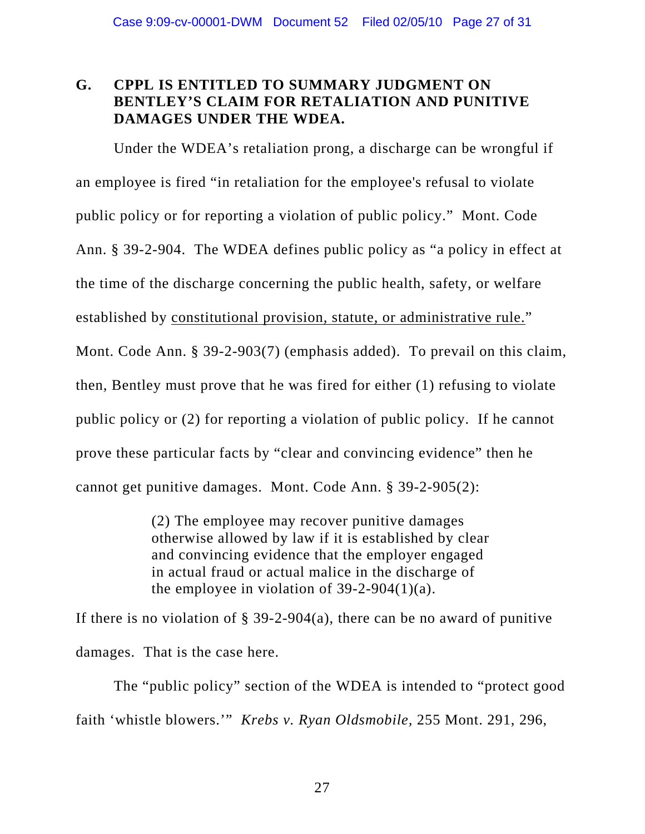# **G. CPPL IS ENTITLED TO SUMMARY JUDGMENT ON BENTLEY'S CLAIM FOR RETALIATION AND PUNITIVE DAMAGES UNDER THE WDEA.**

Under the WDEA's retaliation prong, a discharge can be wrongful if an employee is fired "in retaliation for the employee's refusal to violate public policy or for reporting a violation of public policy." Mont. Code Ann. § 39-2-904. The WDEA defines public policy as "a policy in effect at the time of the discharge concerning the public health, safety, or welfare established by constitutional provision, statute, or administrative rule." Mont. Code Ann. § 39-2-903(7) (emphasis added). To prevail on this claim, then, Bentley must prove that he was fired for either (1) refusing to violate public policy or (2) for reporting a violation of public policy. If he cannot prove these particular facts by "clear and convincing evidence" then he cannot get punitive damages. Mont. Code Ann. § 39-2-905(2):

> (2) The employee may recover punitive damages otherwise allowed by law if it is established by clear and convincing evidence that the employer engaged in actual fraud or actual malice in the discharge of the employee in violation of  $39-2-904(1)(a)$  $39-2-904(1)(a)$ .

If there is no violation of  $\S$  39-2-904(a), there can be no award of punitive damages. That is the case here.

The "public policy" section of the WDEA is intended to "protect good faith 'whistle blowers.'" *Krebs v. Ryan Oldsmobile,* 255 Mont. 291, 296,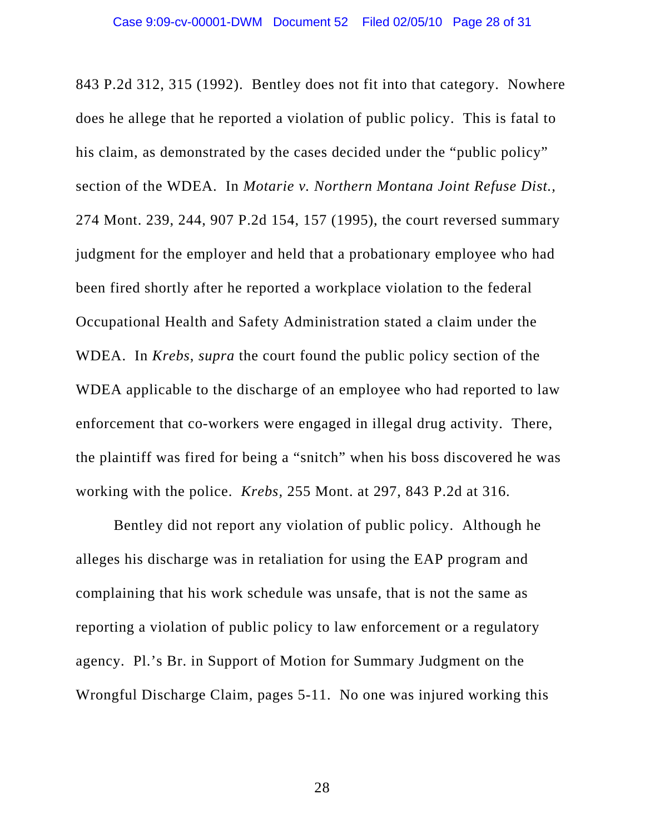843 P.2d 312, 315 (1992). Bentley does not fit into that category. Nowhere does he allege that he reported a violation of public policy. This is fatal to his claim, as demonstrated by the cases decided under the "public policy" section of the WDEA. In *Motarie v. Northern Montana Joint Refuse Dist.,*  274 Mont. 239, 244, 907 P.2d 154, 157 (1995), the court reversed summary judgment for the employer and held that a probationary employee who had been fired shortly after he reported a workplace violation to the federal Occupational Health and Safety Administration stated a claim under the WDEA. In *Krebs*, *supra* the court found the public policy section of the WDEA applicable to the discharge of an employee who had reported to law enforcement that co-workers were engaged in illegal drug activity. There, the plaintiff was fired for being a "snitch" when his boss discovered he was working with the police. *Krebs,* 255 Mont. at 297, 843 P.2d at 316.

Bentley did not report any violation of public policy. Although he alleges his discharge was in retaliation for using the EAP program and complaining that his work schedule was unsafe, that is not the same as reporting a violation of public policy to law enforcement or a regulatory agency. Pl.'s Br. in Support of Motion for Summary Judgment on the Wrongful Discharge Claim, pages 5-11. No one was injured working this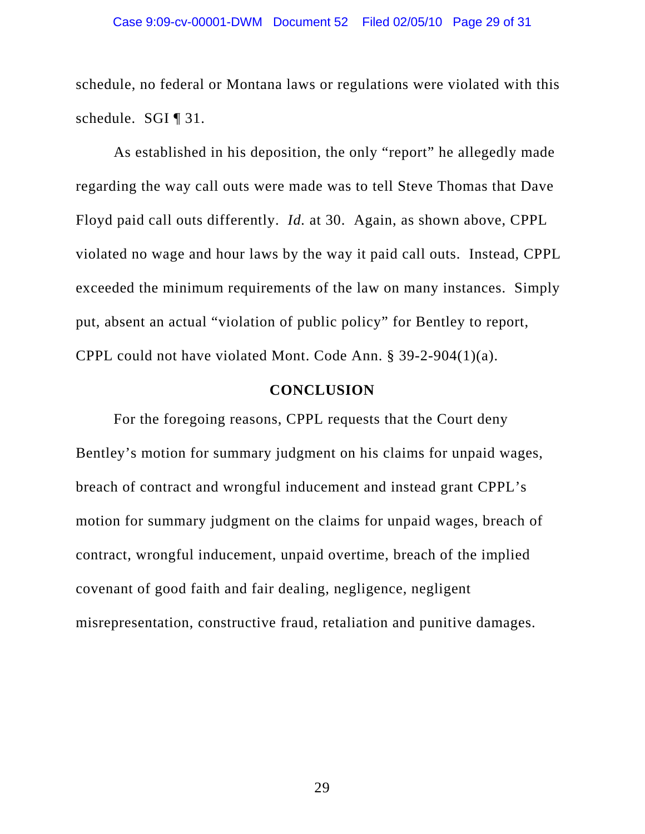schedule, no federal or Montana laws or regulations were violated with this schedule. SGI ¶ 31.

As established in his deposition, the only "report" he allegedly made regarding the way call outs were made was to tell Steve Thomas that Dave Floyd paid call outs differently. *Id.* at 30.Again, as shown above, CPPL violated no wage and hour laws by the way it paid call outs. Instead, CPPL exceeded the minimum requirements of the law on many instances. Simply put, absent an actual "violation of public policy" for Bentley to report, CPPL could not have violated Mont. Code Ann. § 39-2-904(1)(a).

#### **CONCLUSION**

For the foregoing reasons, CPPL requests that the Court deny Bentley's motion for summary judgment on his claims for unpaid wages, breach of contract and wrongful inducement and instead grant CPPL's motion for summary judgment on the claims for unpaid wages, breach of contract, wrongful inducement, unpaid overtime, breach of the implied covenant of good faith and fair dealing, negligence, negligent misrepresentation, constructive fraud, retaliation and punitive damages.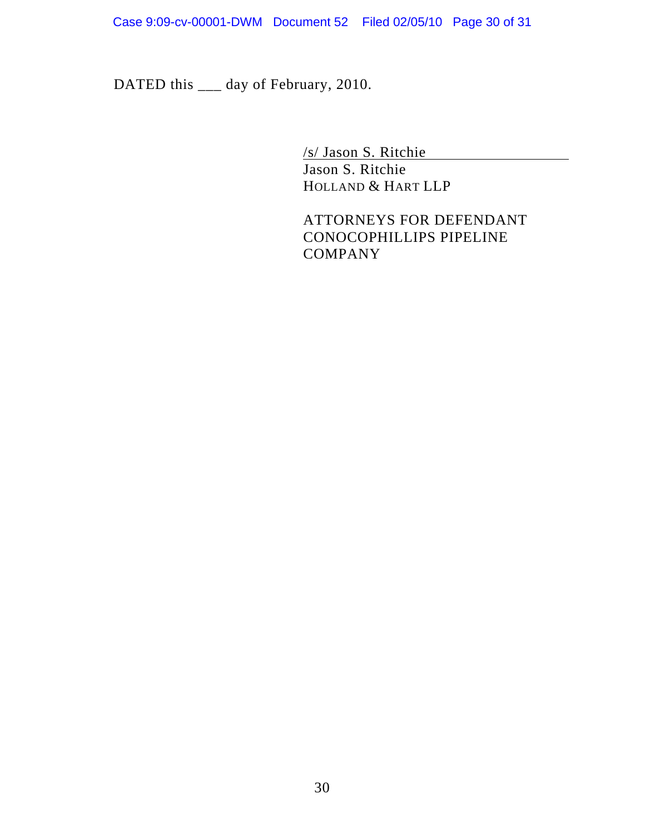DATED this \_\_\_ day of February, 2010.

/s/ Jason S. Ritchie

Jason S. Ritchie HOLLAND & HART LLP

ATTORNEYS FOR DEFENDANT CONOCOPHILLIPS PIPELINE **COMPANY**